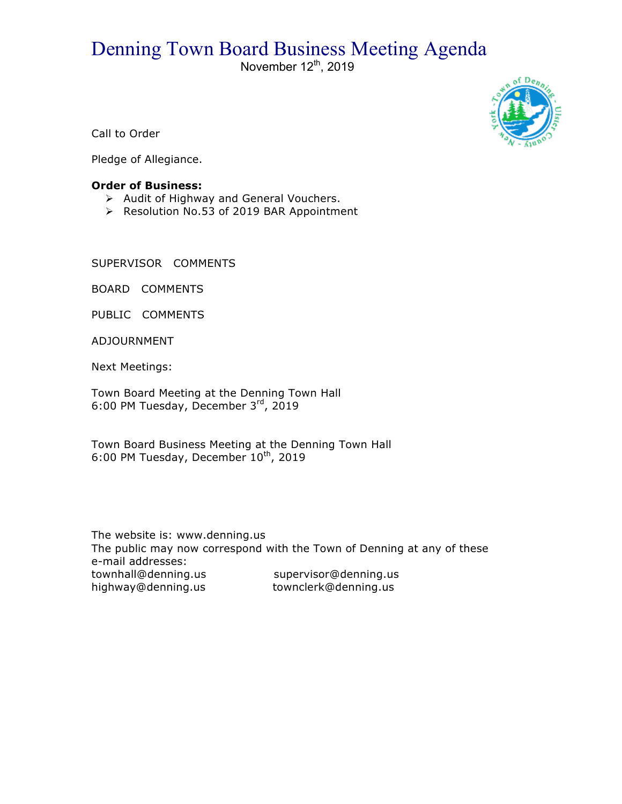## Denning Town Board Business Meeting Agenda<br>November 12<sup>th</sup>, 2019



Call to Order

Pledge of Allegiance.

## **Order of Business:**

- > Audit of Highway and General Vouchers.
- ▶ Resolution No.53 of 2019 BAR Appointment

SUPERVISOR COMMENTS

BOARD COMMENTS

PUBLIC COMMENTS

ADJOURNMENT

Next Meetings:

Town Board Meeting at the Denning Town Hall 6:00 PM Tuesday, December 3rd, 2019

Town Board Business Meeting at the Denning Town Hall 6:00 PM Tuesday, December  $10^{th}$ , 2019

The website is: www.denning.us The public may now correspond with the Town of Denning at any of these e-mail addresses: townhall@denning.us supervisor@denning.us highway@denning.us townclerk@denning.us